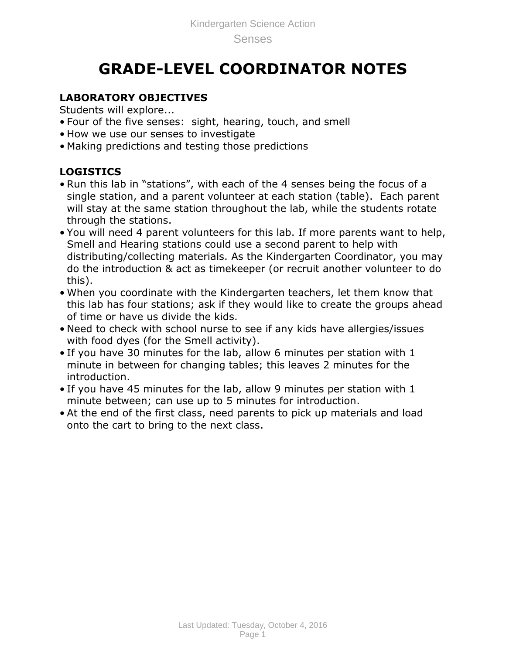# **GRADE-LEVEL COORDINATOR NOTES**

#### **LABORATORY OBJECTIVES**

Students will explore...

- Four of the five senses: sight, hearing, touch, and smell
- How we use our senses to investigate
- Making predictions and testing those predictions

### **LOGISTICS**

- Run this lab in "stations", with each of the 4 senses being the focus of a single station, and a parent volunteer at each station (table). Each parent will stay at the same station throughout the lab, while the students rotate through the stations.
- You will need 4 parent volunteers for this lab. If more parents want to help, Smell and Hearing stations could use a second parent to help with distributing/collecting materials. As the Kindergarten Coordinator, you may do the introduction & act as timekeeper (or recruit another volunteer to do this).
- When you coordinate with the Kindergarten teachers, let them know that this lab has four stations; ask if they would like to create the groups ahead of time or have us divide the kids.
- Need to check with school nurse to see if any kids have allergies/issues with food dyes (for the Smell activity).
- If you have 30 minutes for the lab, allow 6 minutes per station with 1 minute in between for changing tables; this leaves 2 minutes for the introduction.
- If you have 45 minutes for the lab, allow 9 minutes per station with 1 minute between; can use up to 5 minutes for introduction.
- At the end of the first class, need parents to pick up materials and load onto the cart to bring to the next class.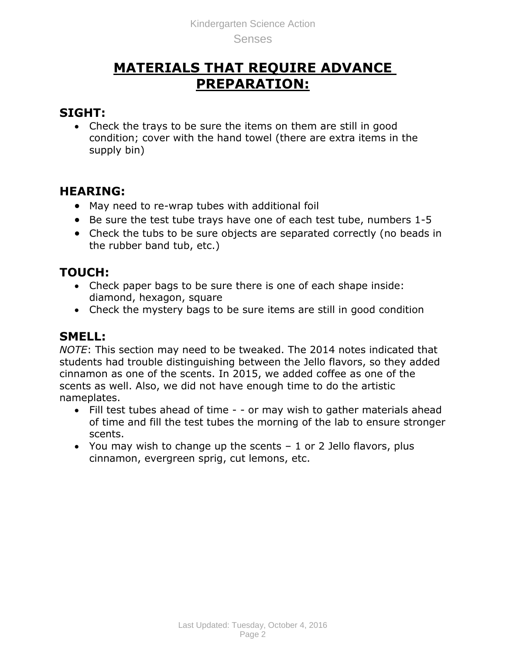# **MATERIALS THAT REQUIRE ADVANCE PREPARATION:**

## **SIGHT:**

 Check the trays to be sure the items on them are still in good condition; cover with the hand towel (there are extra items in the supply bin)

## **HEARING:**

- May need to re-wrap tubes with additional foil
- Be sure the test tube trays have one of each test tube, numbers 1-5
- Check the tubs to be sure objects are separated correctly (no beads in the rubber band tub, etc.)

## **TOUCH:**

- Check paper bags to be sure there is one of each shape inside: diamond, hexagon, square
- Check the mystery bags to be sure items are still in good condition

## **SMELL:**

*NOTE*: This section may need to be tweaked. The 2014 notes indicated that students had trouble distinguishing between the Jello flavors, so they added cinnamon as one of the scents. In 2015, we added coffee as one of the scents as well. Also, we did not have enough time to do the artistic nameplates.

- Fill test tubes ahead of time - or may wish to gather materials ahead of time and fill the test tubes the morning of the lab to ensure stronger scents.
- You may wish to change up the scents  $-1$  or 2 Jello flavors, plus cinnamon, evergreen sprig, cut lemons, etc.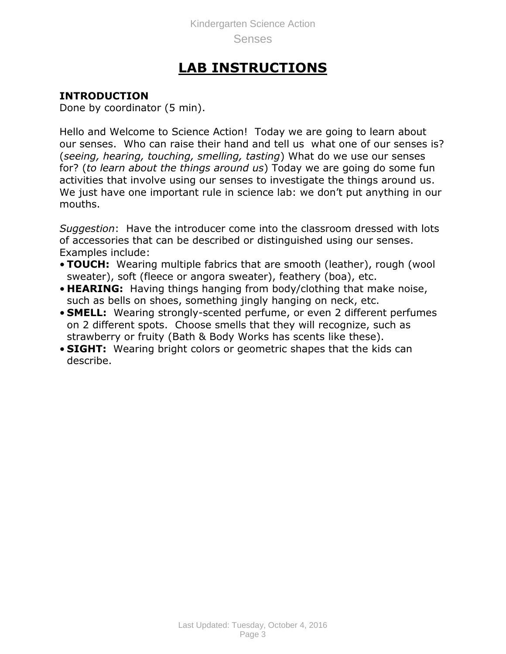# **LAB INSTRUCTIONS**

#### **INTRODUCTION**

Done by coordinator (5 min).

Hello and Welcome to Science Action! Today we are going to learn about our senses. Who can raise their hand and tell us what one of our senses is? (*seeing, hearing, touching, smelling, tasting*) What do we use our senses for? (*to learn about the things around us*) Today we are going do some fun activities that involve using our senses to investigate the things around us. We just have one important rule in science lab: we don't put anything in our mouths.

*Suggestion*: Have the introducer come into the classroom dressed with lots of accessories that can be described or distinguished using our senses. Examples include:

- **TOUCH:** Wearing multiple fabrics that are smooth (leather), rough (wool sweater), soft (fleece or angora sweater), feathery (boa), etc.
- **HEARING:** Having things hanging from body/clothing that make noise, such as bells on shoes, something jingly hanging on neck, etc.
- **SMELL:** Wearing strongly-scented perfume, or even 2 different perfumes on 2 different spots. Choose smells that they will recognize, such as strawberry or fruity (Bath & Body Works has scents like these).
- **SIGHT:** Wearing bright colors or geometric shapes that the kids can describe.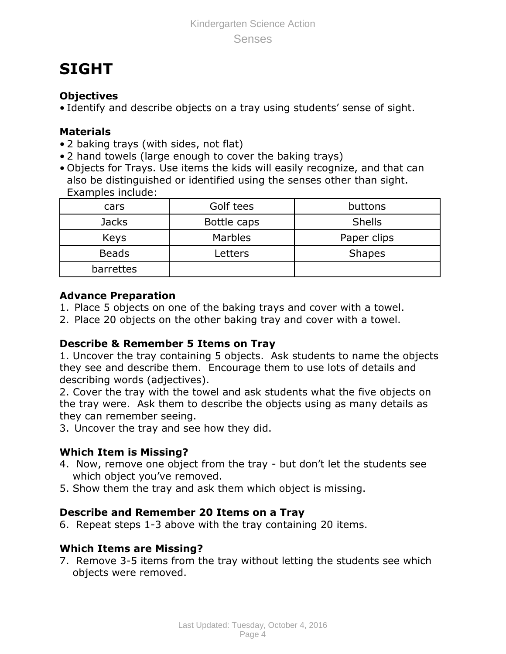# **SIGHT**

### **Objectives**

• Identify and describe objects on a tray using students' sense of sight.

## **Materials**

- 2 baking trays (with sides, not flat)
- 2 hand towels (large enough to cover the baking trays)
- Objects for Trays. Use items the kids will easily recognize, and that can also be distinguished or identified using the senses other than sight. Examples include:

| cars         | Golf tees      | buttons       |
|--------------|----------------|---------------|
| <b>Jacks</b> | Bottle caps    | <b>Shells</b> |
| <b>Keys</b>  | <b>Marbles</b> | Paper clips   |
| <b>Beads</b> | Letters        | <b>Shapes</b> |
| barrettes    |                |               |

## **Advance Preparation**

- 1. Place 5 objects on one of the baking trays and cover with a towel.
- 2. Place 20 objects on the other baking tray and cover with a towel.

## **Describe & Remember 5 Items on Tray**

1. Uncover the tray containing 5 objects. Ask students to name the objects they see and describe them. Encourage them to use lots of details and describing words (adjectives).

2. Cover the tray with the towel and ask students what the five objects on the tray were. Ask them to describe the objects using as many details as they can remember seeing.

3. Uncover the tray and see how they did.

## **Which Item is Missing?**

- 4. Now, remove one object from the tray but don't let the students see which object you've removed.
- 5. Show them the tray and ask them which object is missing.

## **Describe and Remember 20 Items on a Tray**

6. Repeat steps 1-3 above with the tray containing 20 items.

### **Which Items are Missing?**

7. Remove 3-5 items from the tray without letting the students see which objects were removed.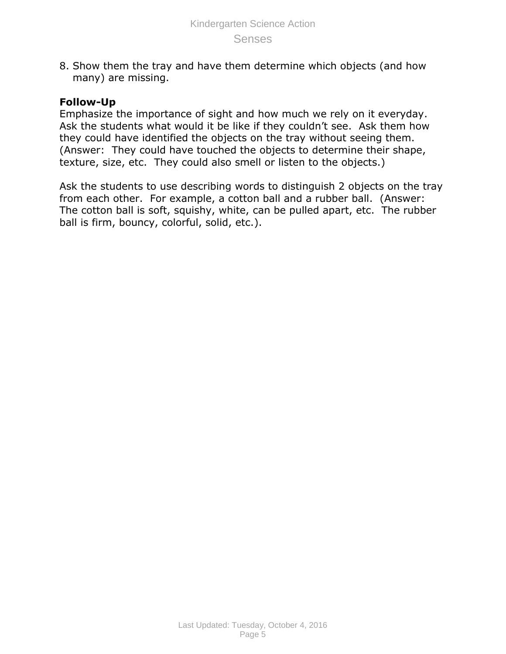8. Show them the tray and have them determine which objects (and how many) are missing.

#### **Follow-Up**

Emphasize the importance of sight and how much we rely on it everyday. Ask the students what would it be like if they couldn't see. Ask them how they could have identified the objects on the tray without seeing them. (Answer: They could have touched the objects to determine their shape, texture, size, etc. They could also smell or listen to the objects.)

Ask the students to use describing words to distinguish 2 objects on the tray from each other. For example, a cotton ball and a rubber ball. (Answer: The cotton ball is soft, squishy, white, can be pulled apart, etc. The rubber ball is firm, bouncy, colorful, solid, etc.).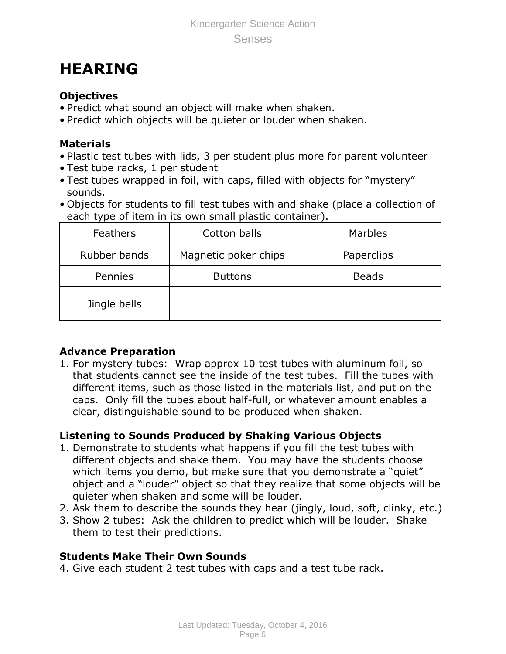# **HEARING**

#### **Objectives**

- Predict what sound an object will make when shaken.
- Predict which objects will be quieter or louder when shaken.

#### **Materials**

- Plastic test tubes with lids, 3 per student plus more for parent volunteer
- Test tube racks, 1 per student
- Test tubes wrapped in foil, with caps, filled with objects for "mystery" sounds.
- Objects for students to fill test tubes with and shake (place a collection of each type of item in its own small plastic container).

| <b>Feathers</b> | Cotton balls         | <b>Marbles</b> |
|-----------------|----------------------|----------------|
| Rubber bands    | Magnetic poker chips | Paperclips     |
| Pennies         | <b>Buttons</b>       | <b>Beads</b>   |
| Jingle bells    |                      |                |

### **Advance Preparation**

1. For mystery tubes: Wrap approx 10 test tubes with aluminum foil, so that students cannot see the inside of the test tubes. Fill the tubes with different items, such as those listed in the materials list, and put on the caps. Only fill the tubes about half-full, or whatever amount enables a clear, distinguishable sound to be produced when shaken.

### **Listening to Sounds Produced by Shaking Various Objects**

- 1. Demonstrate to students what happens if you fill the test tubes with different objects and shake them. You may have the students choose which items you demo, but make sure that you demonstrate a "quiet" object and a "louder" object so that they realize that some objects will be quieter when shaken and some will be louder.
- 2. Ask them to describe the sounds they hear (jingly, loud, soft, clinky, etc.)
- 3. Show 2 tubes: Ask the children to predict which will be louder. Shake them to test their predictions.

#### **Students Make Their Own Sounds**

4. Give each student 2 test tubes with caps and a test tube rack.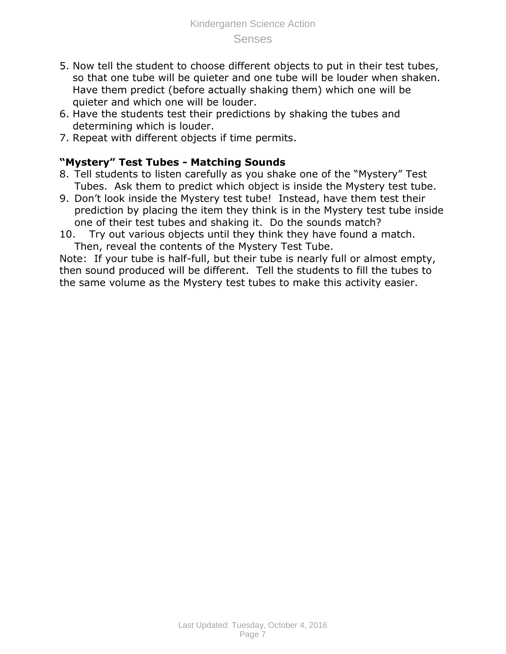- 5. Now tell the student to choose different objects to put in their test tubes, so that one tube will be quieter and one tube will be louder when shaken. Have them predict (before actually shaking them) which one will be quieter and which one will be louder.
- 6. Have the students test their predictions by shaking the tubes and determining which is louder.
- 7. Repeat with different objects if time permits.

### **"Mystery" Test Tubes - Matching Sounds**

- 8. Tell students to listen carefully as you shake one of the "Mystery" Test Tubes. Ask them to predict which object is inside the Mystery test tube.
- 9. Don't look inside the Mystery test tube! Instead, have them test their prediction by placing the item they think is in the Mystery test tube inside one of their test tubes and shaking it. Do the sounds match?
- 10. Try out various objects until they think they have found a match. Then, reveal the contents of the Mystery Test Tube.

Note: If your tube is half-full, but their tube is nearly full or almost empty, then sound produced will be different. Tell the students to fill the tubes to the same volume as the Mystery test tubes to make this activity easier.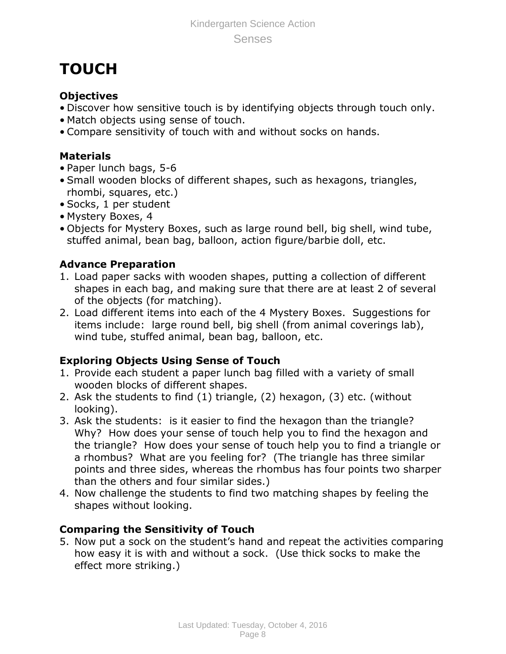# **TOUCH**

### **Objectives**

- Discover how sensitive touch is by identifying objects through touch only.
- Match objects using sense of touch.
- Compare sensitivity of touch with and without socks on hands.

## **Materials**

- Paper lunch bags, 5-6
- Small wooden blocks of different shapes, such as hexagons, triangles, rhombi, squares, etc.)
- Socks, 1 per student
- Mystery Boxes, 4
- Objects for Mystery Boxes, such as large round bell, big shell, wind tube, stuffed animal, bean bag, balloon, action figure/barbie doll, etc.

## **Advance Preparation**

- 1. Load paper sacks with wooden shapes, putting a collection of different shapes in each bag, and making sure that there are at least 2 of several of the objects (for matching).
- 2. Load different items into each of the 4 Mystery Boxes. Suggestions for items include: large round bell, big shell (from animal coverings lab), wind tube, stuffed animal, bean bag, balloon, etc.

## **Exploring Objects Using Sense of Touch**

- 1. Provide each student a paper lunch bag filled with a variety of small wooden blocks of different shapes.
- 2. Ask the students to find (1) triangle, (2) hexagon, (3) etc. (without looking).
- 3. Ask the students: is it easier to find the hexagon than the triangle? Why? How does your sense of touch help you to find the hexagon and the triangle? How does your sense of touch help you to find a triangle or a rhombus? What are you feeling for? (The triangle has three similar points and three sides, whereas the rhombus has four points two sharper than the others and four similar sides.)
- 4. Now challenge the students to find two matching shapes by feeling the shapes without looking.

## **Comparing the Sensitivity of Touch**

5. Now put a sock on the student's hand and repeat the activities comparing how easy it is with and without a sock. (Use thick socks to make the effect more striking.)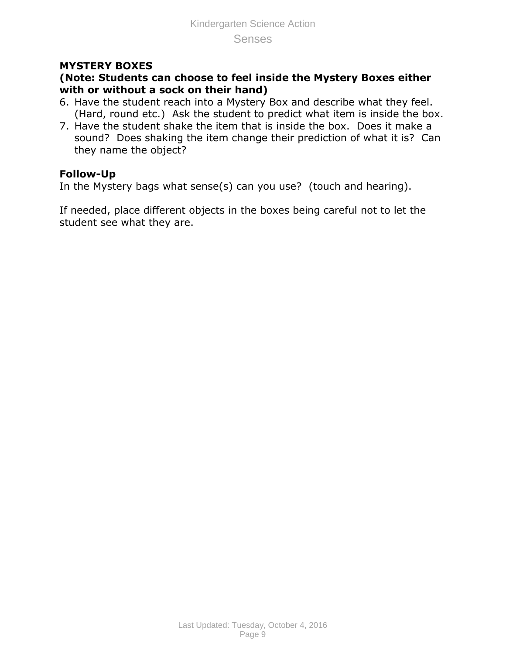#### **MYSTERY BOXES**

#### **(Note: Students can choose to feel inside the Mystery Boxes either with or without a sock on their hand)**

- 6. Have the student reach into a Mystery Box and describe what they feel. (Hard, round etc.) Ask the student to predict what item is inside the box.
- 7. Have the student shake the item that is inside the box. Does it make a sound? Does shaking the item change their prediction of what it is? Can they name the object?

#### **Follow-Up**

In the Mystery bags what sense(s) can you use? (touch and hearing).

If needed, place different objects in the boxes being careful not to let the student see what they are.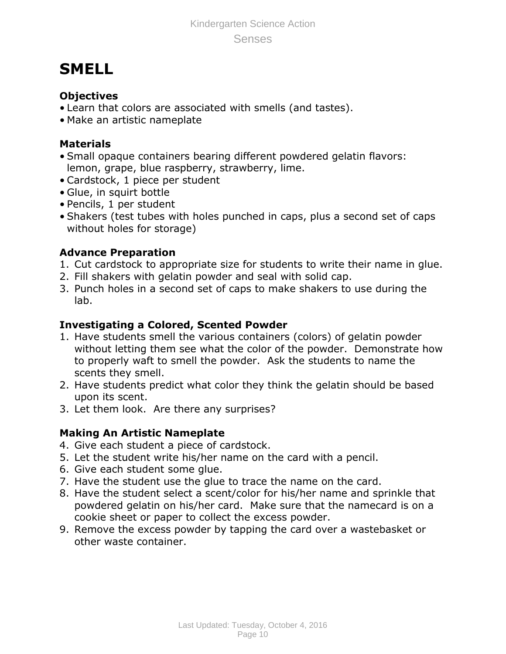# **SMELL**

### **Objectives**

- Learn that colors are associated with smells (and tastes).
- Make an artistic nameplate

## **Materials**

- Small opaque containers bearing different powdered gelatin flavors: lemon, grape, blue raspberry, strawberry, lime.
- Cardstock, 1 piece per student
- Glue, in squirt bottle
- Pencils, 1 per student
- Shakers (test tubes with holes punched in caps, plus a second set of caps without holes for storage)

## **Advance Preparation**

- 1. Cut cardstock to appropriate size for students to write their name in glue.
- 2. Fill shakers with gelatin powder and seal with solid cap.
- 3. Punch holes in a second set of caps to make shakers to use during the lab.

## **Investigating a Colored, Scented Powder**

- 1. Have students smell the various containers (colors) of gelatin powder without letting them see what the color of the powder. Demonstrate how to properly waft to smell the powder. Ask the students to name the scents they smell.
- 2. Have students predict what color they think the gelatin should be based upon its scent.
- 3. Let them look. Are there any surprises?

## **Making An Artistic Nameplate**

- 4. Give each student a piece of cardstock.
- 5. Let the student write his/her name on the card with a pencil.
- 6. Give each student some glue.
- 7. Have the student use the glue to trace the name on the card.
- 8. Have the student select a scent/color for his/her name and sprinkle that powdered gelatin on his/her card. Make sure that the namecard is on a cookie sheet or paper to collect the excess powder.
- 9. Remove the excess powder by tapping the card over a wastebasket or other waste container.